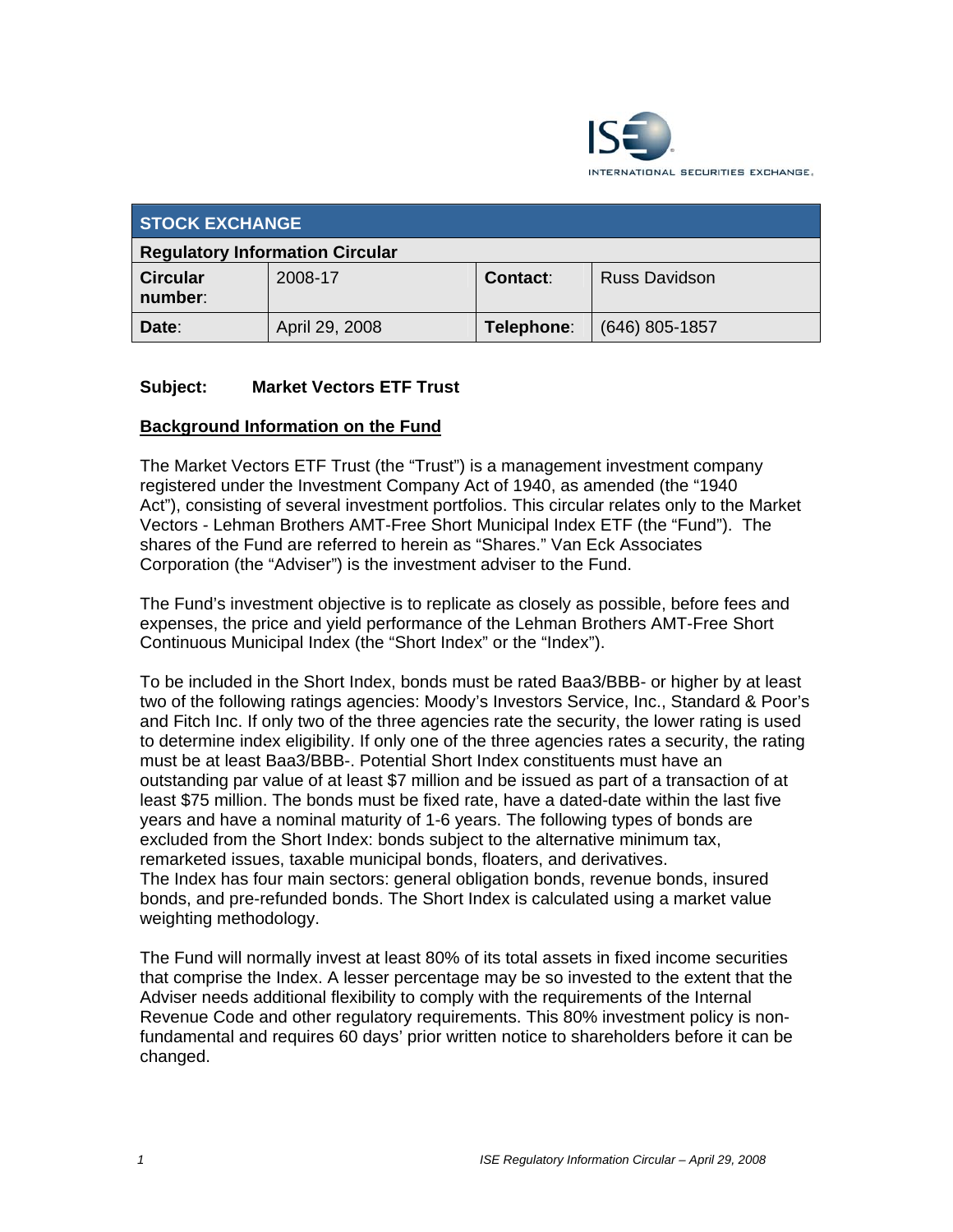

| <b>STOCK EXCHANGE</b>                  |                |                 |                      |
|----------------------------------------|----------------|-----------------|----------------------|
| <b>Regulatory Information Circular</b> |                |                 |                      |
| <b>Circular</b><br>number:             | 2008-17        | <b>Contact:</b> | <b>Russ Davidson</b> |
| Date:                                  | April 29, 2008 | Telephone:      | (646) 805-1857       |

## **Subject: Market Vectors ETF Trust**

## **Background Information on the Fund**

The Market Vectors ETF Trust (the "Trust") is a management investment company registered under the Investment Company Act of 1940, as amended (the "1940 Act"), consisting of several investment portfolios. This circular relates only to the Market Vectors - Lehman Brothers AMT-Free Short Municipal Index ETF (the "Fund"). The shares of the Fund are referred to herein as "Shares." Van Eck Associates Corporation (the "Adviser") is the investment adviser to the Fund.

The Fund's investment objective is to replicate as closely as possible, before fees and expenses, the price and yield performance of the Lehman Brothers AMT-Free Short Continuous Municipal Index (the "Short Index" or the "Index").

To be included in the Short Index, bonds must be rated Baa3/BBB- or higher by at least two of the following ratings agencies: Moody's Investors Service, Inc., Standard & Poor's and Fitch Inc. If only two of the three agencies rate the security, the lower rating is used to determine index eligibility. If only one of the three agencies rates a security, the rating must be at least Baa3/BBB-. Potential Short Index constituents must have an outstanding par value of at least \$7 million and be issued as part of a transaction of at least \$75 million. The bonds must be fixed rate, have a dated-date within the last five years and have a nominal maturity of 1-6 years. The following types of bonds are excluded from the Short Index: bonds subject to the alternative minimum tax, remarketed issues, taxable municipal bonds, floaters, and derivatives. The Index has four main sectors: general obligation bonds, revenue bonds, insured bonds, and pre-refunded bonds. The Short Index is calculated using a market value weighting methodology.

The Fund will normally invest at least 80% of its total assets in fixed income securities that comprise the Index. A lesser percentage may be so invested to the extent that the Adviser needs additional flexibility to comply with the requirements of the Internal Revenue Code and other regulatory requirements. This 80% investment policy is nonfundamental and requires 60 days' prior written notice to shareholders before it can be changed.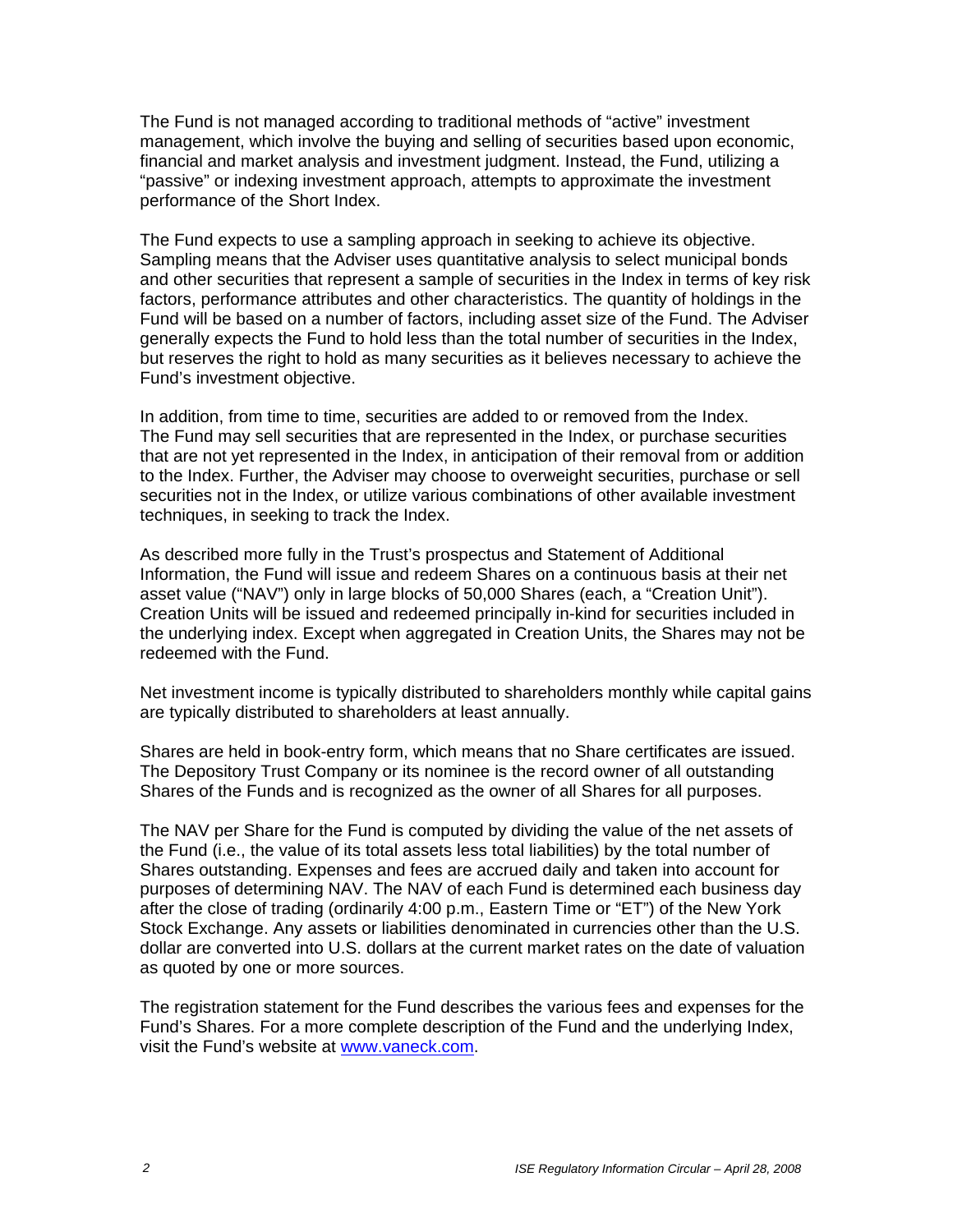The Fund is not managed according to traditional methods of "active" investment management, which involve the buying and selling of securities based upon economic, financial and market analysis and investment judgment. Instead, the Fund, utilizing a "passive" or indexing investment approach, attempts to approximate the investment performance of the Short Index.

The Fund expects to use a sampling approach in seeking to achieve its objective. Sampling means that the Adviser uses quantitative analysis to select municipal bonds and other securities that represent a sample of securities in the Index in terms of key risk factors, performance attributes and other characteristics. The quantity of holdings in the Fund will be based on a number of factors, including asset size of the Fund. The Adviser generally expects the Fund to hold less than the total number of securities in the Index, but reserves the right to hold as many securities as it believes necessary to achieve the Fund's investment objective.

In addition, from time to time, securities are added to or removed from the Index. The Fund may sell securities that are represented in the Index, or purchase securities that are not yet represented in the Index, in anticipation of their removal from or addition to the Index. Further, the Adviser may choose to overweight securities, purchase or sell securities not in the Index, or utilize various combinations of other available investment techniques, in seeking to track the Index.

As described more fully in the Trust's prospectus and Statement of Additional Information, the Fund will issue and redeem Shares on a continuous basis at their net asset value ("NAV") only in large blocks of 50,000 Shares (each, a "Creation Unit"). Creation Units will be issued and redeemed principally in-kind for securities included in the underlying index. Except when aggregated in Creation Units, the Shares may not be redeemed with the Fund.

Net investment income is typically distributed to shareholders monthly while capital gains are typically distributed to shareholders at least annually.

Shares are held in book-entry form, which means that no Share certificates are issued. The Depository Trust Company or its nominee is the record owner of all outstanding Shares of the Funds and is recognized as the owner of all Shares for all purposes.

The NAV per Share for the Fund is computed by dividing the value of the net assets of the Fund (i.e., the value of its total assets less total liabilities) by the total number of Shares outstanding. Expenses and fees are accrued daily and taken into account for purposes of determining NAV. The NAV of each Fund is determined each business day after the close of trading (ordinarily 4:00 p.m., Eastern Time or "ET") of the New York Stock Exchange. Any assets or liabilities denominated in currencies other than the U.S. dollar are converted into U.S. dollars at the current market rates on the date of valuation as quoted by one or more sources.

The registration statement for the Fund describes the various fees and expenses for the Fund's Shares. For a more complete description of the Fund and the underlying Index, visit the Fund's website at www.vaneck.com.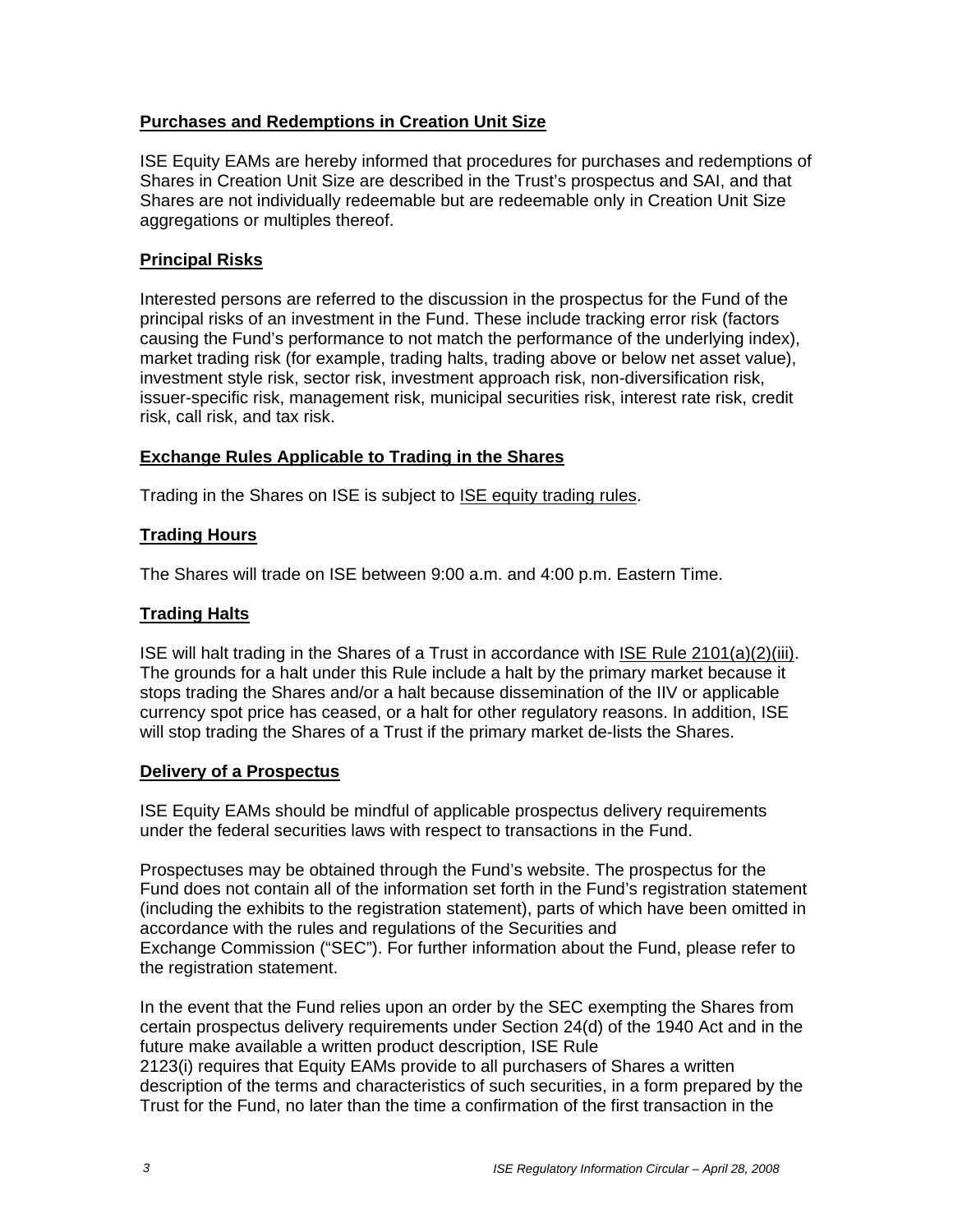# **Purchases and Redemptions in Creation Unit Size**

ISE Equity EAMs are hereby informed that procedures for purchases and redemptions of Shares in Creation Unit Size are described in the Trust's prospectus and SAI, and that Shares are not individually redeemable but are redeemable only in Creation Unit Size aggregations or multiples thereof.

## **Principal Risks**

Interested persons are referred to the discussion in the prospectus for the Fund of the principal risks of an investment in the Fund. These include tracking error risk (factors causing the Fund's performance to not match the performance of the underlying index), market trading risk (for example, trading halts, trading above or below net asset value), investment style risk, sector risk, investment approach risk, non-diversification risk, issuer-specific risk, management risk, municipal securities risk, interest rate risk, credit risk, call risk, and tax risk.

# **Exchange Rules Applicable to Trading in the Shares**

Trading in the Shares on ISE is subject to ISE equity trading rules.

# **Trading Hours**

The Shares will trade on ISE between 9:00 a.m. and 4:00 p.m. Eastern Time.

# **Trading Halts**

ISE will halt trading in the Shares of a Trust in accordance with ISE Rule 2101(a)(2)(iii). The grounds for a halt under this Rule include a halt by the primary market because it stops trading the Shares and/or a halt because dissemination of the IIV or applicable currency spot price has ceased, or a halt for other regulatory reasons. In addition, ISE will stop trading the Shares of a Trust if the primary market de-lists the Shares.

## **Delivery of a Prospectus**

ISE Equity EAMs should be mindful of applicable prospectus delivery requirements under the federal securities laws with respect to transactions in the Fund.

Prospectuses may be obtained through the Fund's website. The prospectus for the Fund does not contain all of the information set forth in the Fund's registration statement (including the exhibits to the registration statement), parts of which have been omitted in accordance with the rules and regulations of the Securities and Exchange Commission ("SEC"). For further information about the Fund, please refer to the registration statement.

In the event that the Fund relies upon an order by the SEC exempting the Shares from certain prospectus delivery requirements under Section 24(d) of the 1940 Act and in the future make available a written product description, ISE Rule 2123(i) requires that Equity EAMs provide to all purchasers of Shares a written

description of the terms and characteristics of such securities, in a form prepared by the Trust for the Fund, no later than the time a confirmation of the first transaction in the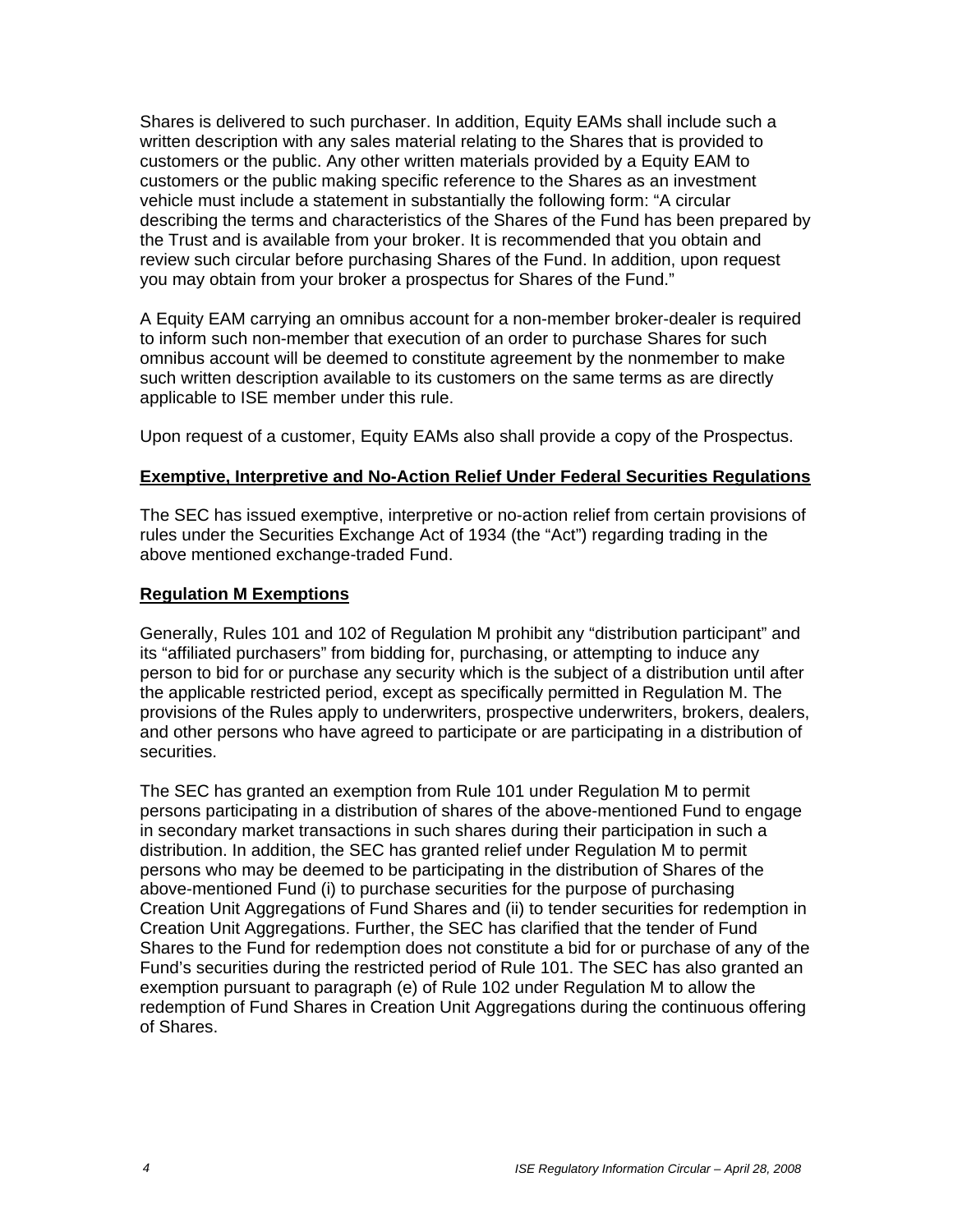Shares is delivered to such purchaser. In addition, Equity EAMs shall include such a written description with any sales material relating to the Shares that is provided to customers or the public. Any other written materials provided by a Equity EAM to customers or the public making specific reference to the Shares as an investment vehicle must include a statement in substantially the following form: "A circular describing the terms and characteristics of the Shares of the Fund has been prepared by the Trust and is available from your broker. It is recommended that you obtain and review such circular before purchasing Shares of the Fund. In addition, upon request you may obtain from your broker a prospectus for Shares of the Fund."

A Equity EAM carrying an omnibus account for a non-member broker-dealer is required to inform such non-member that execution of an order to purchase Shares for such omnibus account will be deemed to constitute agreement by the nonmember to make such written description available to its customers on the same terms as are directly applicable to ISE member under this rule.

Upon request of a customer, Equity EAMs also shall provide a copy of the Prospectus.

## **Exemptive, Interpretive and No-Action Relief Under Federal Securities Regulations**

The SEC has issued exemptive, interpretive or no-action relief from certain provisions of rules under the Securities Exchange Act of 1934 (the "Act") regarding trading in the above mentioned exchange-traded Fund.

### **Regulation M Exemptions**

Generally, Rules 101 and 102 of Regulation M prohibit any "distribution participant" and its "affiliated purchasers" from bidding for, purchasing, or attempting to induce any person to bid for or purchase any security which is the subject of a distribution until after the applicable restricted period, except as specifically permitted in Regulation M. The provisions of the Rules apply to underwriters, prospective underwriters, brokers, dealers, and other persons who have agreed to participate or are participating in a distribution of securities.

The SEC has granted an exemption from Rule 101 under Regulation M to permit persons participating in a distribution of shares of the above-mentioned Fund to engage in secondary market transactions in such shares during their participation in such a distribution. In addition, the SEC has granted relief under Regulation M to permit persons who may be deemed to be participating in the distribution of Shares of the above-mentioned Fund (i) to purchase securities for the purpose of purchasing Creation Unit Aggregations of Fund Shares and (ii) to tender securities for redemption in Creation Unit Aggregations. Further, the SEC has clarified that the tender of Fund Shares to the Fund for redemption does not constitute a bid for or purchase of any of the Fund's securities during the restricted period of Rule 101. The SEC has also granted an exemption pursuant to paragraph (e) of Rule 102 under Regulation M to allow the redemption of Fund Shares in Creation Unit Aggregations during the continuous offering of Shares.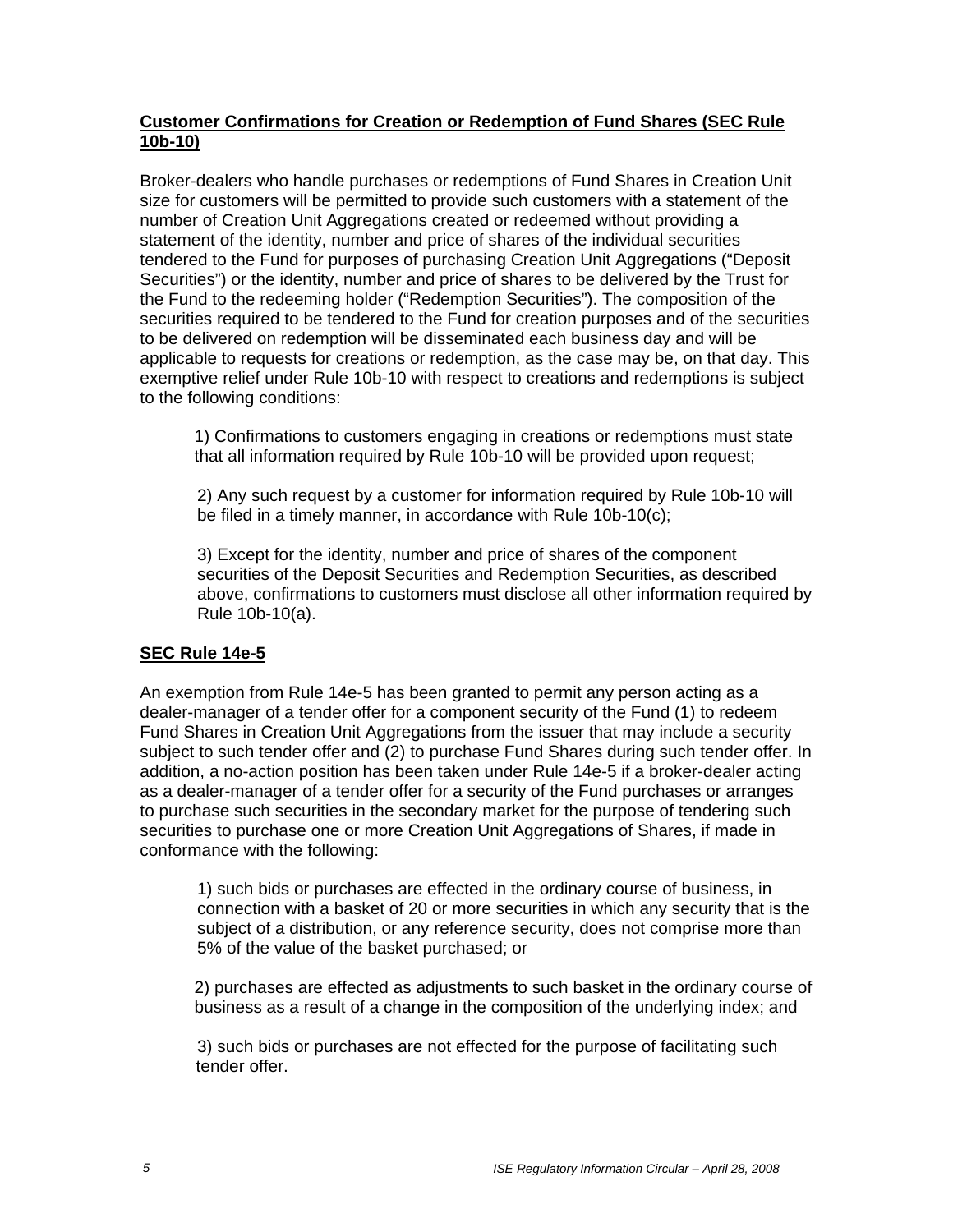## **Customer Confirmations for Creation or Redemption of Fund Shares (SEC Rule 10b-10)**

Broker-dealers who handle purchases or redemptions of Fund Shares in Creation Unit size for customers will be permitted to provide such customers with a statement of the number of Creation Unit Aggregations created or redeemed without providing a statement of the identity, number and price of shares of the individual securities tendered to the Fund for purposes of purchasing Creation Unit Aggregations ("Deposit Securities") or the identity, number and price of shares to be delivered by the Trust for the Fund to the redeeming holder ("Redemption Securities"). The composition of the securities required to be tendered to the Fund for creation purposes and of the securities to be delivered on redemption will be disseminated each business day and will be applicable to requests for creations or redemption, as the case may be, on that day. This exemptive relief under Rule 10b-10 with respect to creations and redemptions is subject to the following conditions:

1) Confirmations to customers engaging in creations or redemptions must state that all information required by Rule 10b-10 will be provided upon request;

2) Any such request by a customer for information required by Rule 10b-10 will be filed in a timely manner, in accordance with Rule 10b-10(c);

3) Except for the identity, number and price of shares of the component securities of the Deposit Securities and Redemption Securities, as described above, confirmations to customers must disclose all other information required by Rule 10b-10(a).

## **SEC Rule 14e-5**

An exemption from Rule 14e-5 has been granted to permit any person acting as a dealer-manager of a tender offer for a component security of the Fund (1) to redeem Fund Shares in Creation Unit Aggregations from the issuer that may include a security subject to such tender offer and (2) to purchase Fund Shares during such tender offer. In addition, a no-action position has been taken under Rule 14e-5 if a broker-dealer acting as a dealer-manager of a tender offer for a security of the Fund purchases or arranges to purchase such securities in the secondary market for the purpose of tendering such securities to purchase one or more Creation Unit Aggregations of Shares, if made in conformance with the following:

1) such bids or purchases are effected in the ordinary course of business, in connection with a basket of 20 or more securities in which any security that is the subject of a distribution, or any reference security, does not comprise more than 5% of the value of the basket purchased; or

2) purchases are effected as adjustments to such basket in the ordinary course of business as a result of a change in the composition of the underlying index; and

3) such bids or purchases are not effected for the purpose of facilitating such tender offer.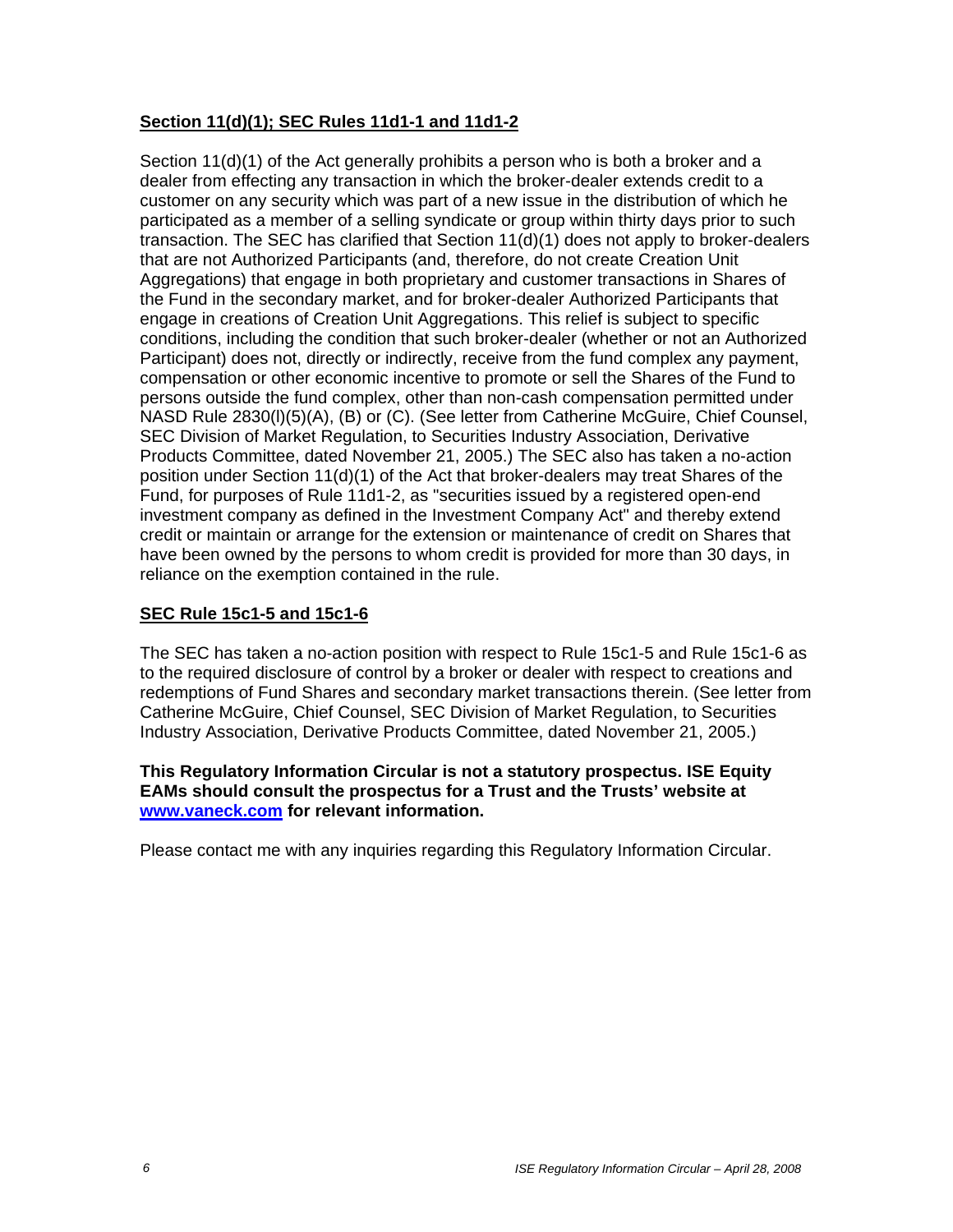# **Section 11(d)(1); SEC Rules 11d1-1 and 11d1-2**

Section 11(d)(1) of the Act generally prohibits a person who is both a broker and a dealer from effecting any transaction in which the broker-dealer extends credit to a customer on any security which was part of a new issue in the distribution of which he participated as a member of a selling syndicate or group within thirty days prior to such transaction. The SEC has clarified that Section 11(d)(1) does not apply to broker-dealers that are not Authorized Participants (and, therefore, do not create Creation Unit Aggregations) that engage in both proprietary and customer transactions in Shares of the Fund in the secondary market, and for broker-dealer Authorized Participants that engage in creations of Creation Unit Aggregations. This relief is subject to specific conditions, including the condition that such broker-dealer (whether or not an Authorized Participant) does not, directly or indirectly, receive from the fund complex any payment, compensation or other economic incentive to promote or sell the Shares of the Fund to persons outside the fund complex, other than non-cash compensation permitted under NASD Rule 2830(l)(5)(A), (B) or (C). (See letter from Catherine McGuire, Chief Counsel, SEC Division of Market Regulation, to Securities Industry Association, Derivative Products Committee, dated November 21, 2005.) The SEC also has taken a no-action position under Section 11(d)(1) of the Act that broker-dealers may treat Shares of the Fund, for purposes of Rule 11d1-2, as "securities issued by a registered open-end investment company as defined in the Investment Company Act" and thereby extend credit or maintain or arrange for the extension or maintenance of credit on Shares that have been owned by the persons to whom credit is provided for more than 30 days, in reliance on the exemption contained in the rule.

## **SEC Rule 15c1-5 and 15c1-6**

The SEC has taken a no-action position with respect to Rule 15c1-5 and Rule 15c1-6 as to the required disclosure of control by a broker or dealer with respect to creations and redemptions of Fund Shares and secondary market transactions therein. (See letter from Catherine McGuire, Chief Counsel, SEC Division of Market Regulation, to Securities Industry Association, Derivative Products Committee, dated November 21, 2005.)

#### **This Regulatory Information Circular is not a statutory prospectus. ISE Equity EAMs should consult the prospectus for a Trust and the Trusts' website at www.vaneck.com for relevant information.**

Please contact me with any inquiries regarding this Regulatory Information Circular.